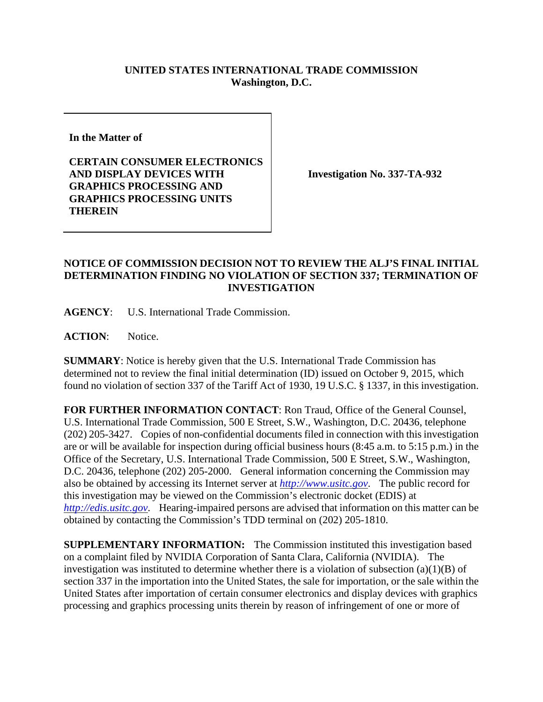## **UNITED STATES INTERNATIONAL TRADE COMMISSION Washington, D.C.**

**In the Matter of** 

**CERTAIN CONSUMER ELECTRONICS AND DISPLAY DEVICES WITH GRAPHICS PROCESSING AND GRAPHICS PROCESSING UNITS THEREIN** 

**Investigation No. 337-TA-932** 

## **NOTICE OF COMMISSION DECISION NOT TO REVIEW THE ALJ'S FINAL INITIAL DETERMINATION FINDING NO VIOLATION OF SECTION 337; TERMINATION OF INVESTIGATION**

**AGENCY**: U.S. International Trade Commission.

ACTION: Notice.

**SUMMARY**: Notice is hereby given that the U.S. International Trade Commission has determined not to review the final initial determination (ID) issued on October 9, 2015, which found no violation of section 337 of the Tariff Act of 1930, 19 U.S.C. § 1337, in this investigation.

**FOR FURTHER INFORMATION CONTACT**: Ron Traud, Office of the General Counsel, U.S. International Trade Commission, 500 E Street, S.W., Washington, D.C. 20436, telephone (202) 205-3427. Copies of non-confidential documents filed in connection with this investigation are or will be available for inspection during official business hours (8:45 a.m. to 5:15 p.m.) in the Office of the Secretary, U.S. International Trade Commission, 500 E Street, S.W., Washington, D.C. 20436, telephone (202) 205-2000. General information concerning the Commission may also be obtained by accessing its Internet server at *http://www.usitc.gov*. The public record for this investigation may be viewed on the Commission's electronic docket (EDIS) at *http://edis.usitc.gov*. Hearing-impaired persons are advised that information on this matter can be obtained by contacting the Commission's TDD terminal on (202) 205-1810.

**SUPPLEMENTARY INFORMATION:** The Commission instituted this investigation based on a complaint filed by NVIDIA Corporation of Santa Clara, California (NVIDIA). The investigation was instituted to determine whether there is a violation of subsection  $(a)(1)(B)$  of section 337 in the importation into the United States, the sale for importation, or the sale within the United States after importation of certain consumer electronics and display devices with graphics processing and graphics processing units therein by reason of infringement of one or more of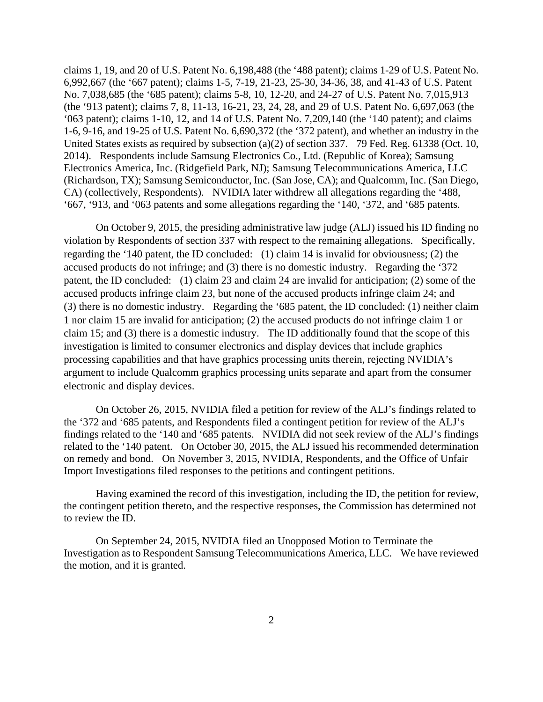claims 1, 19, and 20 of U.S. Patent No. 6,198,488 (the '488 patent); claims 1-29 of U.S. Patent No. 6,992,667 (the '667 patent); claims 1-5, 7-19, 21-23, 25-30, 34-36, 38, and 41-43 of U.S. Patent No. 7,038,685 (the '685 patent); claims 5-8, 10, 12-20, and 24-27 of U.S. Patent No. 7,015,913 (the '913 patent); claims 7, 8, 11-13, 16-21, 23, 24, 28, and 29 of U.S. Patent No. 6,697,063 (the '063 patent); claims 1-10, 12, and 14 of U.S. Patent No. 7,209,140 (the '140 patent); and claims 1-6, 9-16, and 19-25 of U.S. Patent No. 6,690,372 (the '372 patent), and whether an industry in the United States exists as required by subsection (a)(2) of section 337. 79 Fed. Reg. 61338 (Oct. 10, 2014). Respondents include Samsung Electronics Co., Ltd. (Republic of Korea); Samsung Electronics America, Inc. (Ridgefield Park, NJ); Samsung Telecommunications America, LLC (Richardson, TX); Samsung Semiconductor, Inc. (San Jose, CA); and Qualcomm, Inc. (San Diego, CA) (collectively, Respondents). NVIDIA later withdrew all allegations regarding the '488, '667, '913, and '063 patents and some allegations regarding the '140, '372, and '685 patents.

On October 9, 2015, the presiding administrative law judge (ALJ) issued his ID finding no violation by Respondents of section 337 with respect to the remaining allegations. Specifically, regarding the '140 patent, the ID concluded: (1) claim 14 is invalid for obviousness; (2) the accused products do not infringe; and (3) there is no domestic industry. Regarding the '372 patent, the ID concluded: (1) claim 23 and claim 24 are invalid for anticipation; (2) some of the accused products infringe claim 23, but none of the accused products infringe claim 24; and (3) there is no domestic industry. Regarding the '685 patent, the ID concluded: (1) neither claim 1 nor claim 15 are invalid for anticipation; (2) the accused products do not infringe claim 1 or claim 15; and (3) there is a domestic industry. The ID additionally found that the scope of this investigation is limited to consumer electronics and display devices that include graphics processing capabilities and that have graphics processing units therein, rejecting NVIDIA's argument to include Qualcomm graphics processing units separate and apart from the consumer electronic and display devices.

On October 26, 2015, NVIDIA filed a petition for review of the ALJ's findings related to the '372 and '685 patents, and Respondents filed a contingent petition for review of the ALJ's findings related to the '140 and '685 patents. NVIDIA did not seek review of the ALJ's findings related to the '140 patent. On October 30, 2015, the ALJ issued his recommended determination on remedy and bond. On November 3, 2015, NVIDIA, Respondents, and the Office of Unfair Import Investigations filed responses to the petitions and contingent petitions.

Having examined the record of this investigation, including the ID, the petition for review, the contingent petition thereto, and the respective responses, the Commission has determined not to review the ID.

On September 24, 2015, NVIDIA filed an Unopposed Motion to Terminate the Investigation as to Respondent Samsung Telecommunications America, LLC. We have reviewed the motion, and it is granted.